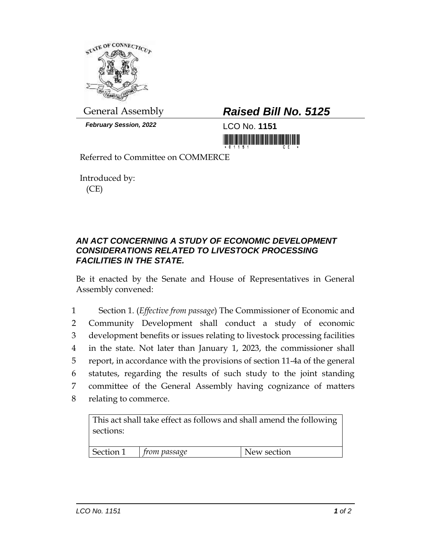

*February Session, 2022* LCO No. **1151**

## General Assembly *Raised Bill No. 5125*

<u> III MARIJINI MARIJI MARIJI MARIJI MARIJI MARIJI MARIJI MARIJI MARIJI MARIJI MARIJI MARIJI MARIJI MARIJI MARIJ</u>

Referred to Committee on COMMERCE

Introduced by: (CE)

## *AN ACT CONCERNING A STUDY OF ECONOMIC DEVELOPMENT CONSIDERATIONS RELATED TO LIVESTOCK PROCESSING FACILITIES IN THE STATE.*

Be it enacted by the Senate and House of Representatives in General Assembly convened:

 Section 1. (*Effective from passage*) The Commissioner of Economic and Community Development shall conduct a study of economic development benefits or issues relating to livestock processing facilities in the state. Not later than January 1, 2023, the commissioner shall report, in accordance with the provisions of section 11-4a of the general statutes, regarding the results of such study to the joint standing committee of the General Assembly having cognizance of matters relating to commerce.

This act shall take effect as follows and shall amend the following sections:

| Section 1 | from passage | New section |
|-----------|--------------|-------------|